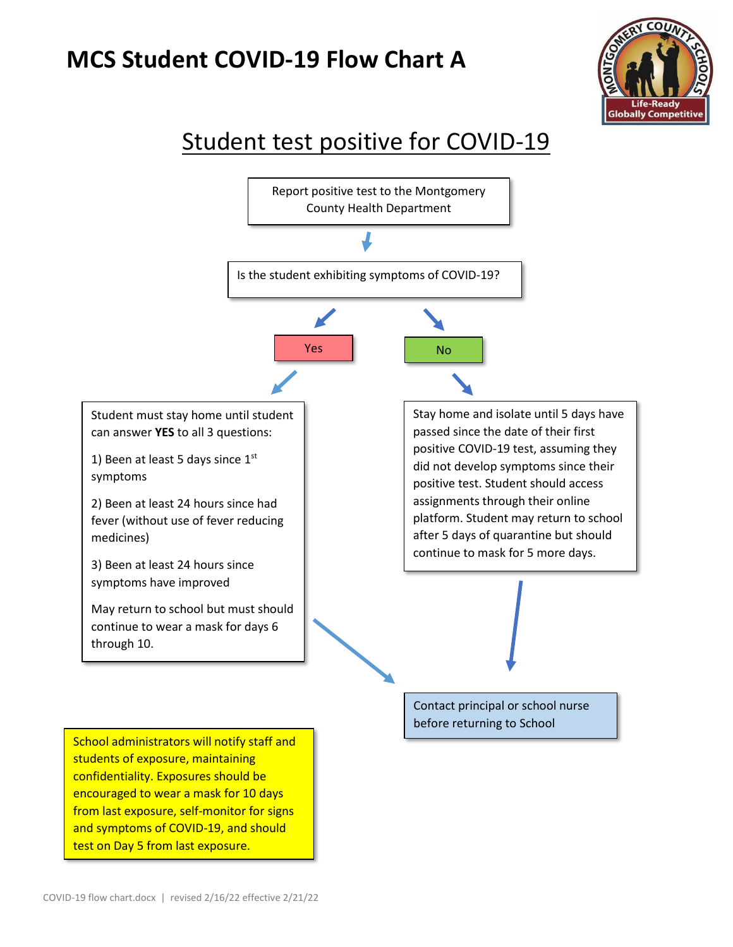### **MCS Student COVID-19 Flow Chart A**



### Student test positive for COVID-19

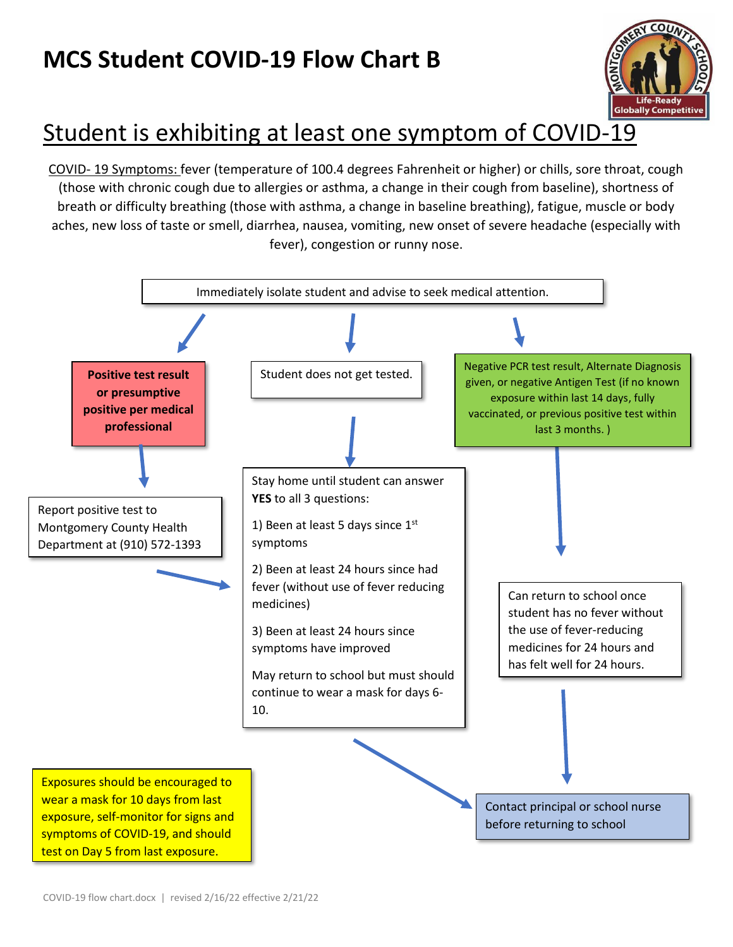## **MCS Student COVID-19 Flow Chart B**



# Student is exhibiting at least one symptom of COVID-19

COVID- 19 Symptoms: fever (temperature of 100.4 degrees Fahrenheit or higher) or chills, sore throat, cough (those with chronic cough due to allergies or asthma, a change in their cough from baseline), shortness of breath or difficulty breathing (those with asthma, a change in baseline breathing), fatigue, muscle or body aches, new loss of taste or smell, diarrhea, nausea, vomiting, new onset of severe headache (especially with fever), congestion or runny nose.